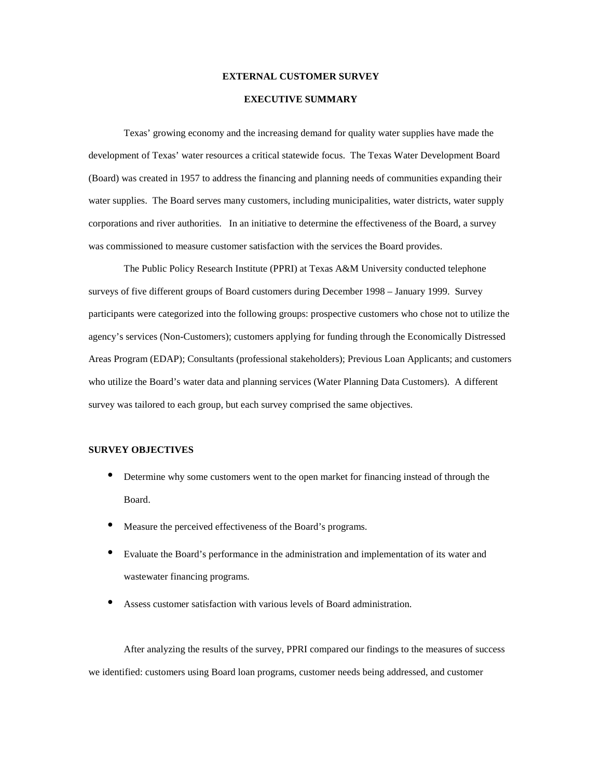## **EXTERNAL CUSTOMER SURVEY**

## **EXECUTIVE SUMMARY**

Texas' growing economy and the increasing demand for quality water supplies have made the development of Texas' water resources a critical statewide focus. The Texas Water Development Board (Board) was created in 1957 to address the financing and planning needs of communities expanding their water supplies. The Board serves many customers, including municipalities, water districts, water supply corporations and river authorities. In an initiative to determine the effectiveness of the Board, a survey was commissioned to measure customer satisfaction with the services the Board provides.

The Public Policy Research Institute (PPRI) at Texas A&M University conducted telephone surveys of five different groups of Board customers during December 1998 – January 1999. Survey participants were categorized into the following groups: prospective customers who chose not to utilize the agency's services (Non-Customers); customers applying for funding through the Economically Distressed Areas Program (EDAP); Consultants (professional stakeholders); Previous Loan Applicants; and customers who utilize the Board's water data and planning services (Water Planning Data Customers). A different survey was tailored to each group, but each survey comprised the same objectives.

## **SURVEY OBJECTIVES**

- Determine why some customers went to the open market for financing instead of through the Board.
- Measure the perceived effectiveness of the Board's programs.
- Evaluate the Board's performance in the administration and implementation of its water and wastewater financing programs.
- Assess customer satisfaction with various levels of Board administration.

After analyzing the results of the survey, PPRI compared our findings to the measures of success we identified: customers using Board loan programs, customer needs being addressed, and customer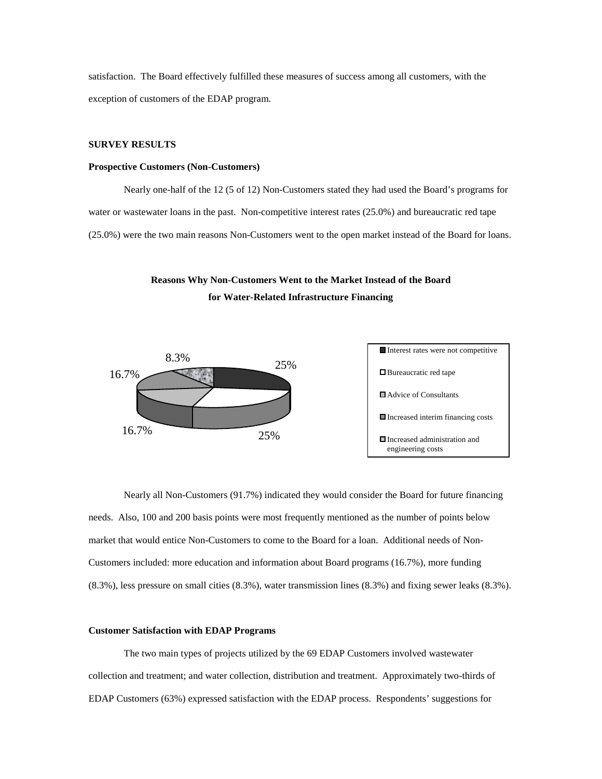satisfaction. The Board effectively fulfilled these measures of success among all customers, with the exception of customers of the EDAP program.

# **SURVEY RESULTS**

## **Prospective Customers (Non-Customers)**

Nearly one-half of the 12 (5 of 12) Non-Customers stated they had used the Board's programs for water or wastewater loans in the past. Non-competitive interest rates (25.0%) and bureaucratic red tape (25.0%) were the two main reasons Non-Customers went to the open market instead of the Board for loans.

# **Reasons Why Non-Customers Went to the Market Instead of the Board for Water-Related Infrastructure Financing**





Nearly all Non-Customers (91.7%) indicated they would consider the Board for future financing needs. Also, 100 and 200 basis points were most frequently mentioned as the number of points below market that would entice Non-Customers to come to the Board for a loan. Additional needs of Non-Customers included: more education and information about Board programs (16.7%), more funding (8.3%), less pressure on small cities (8.3%), water transmission lines (8.3%) and fixing sewer leaks (8.3%).

#### **Customer Satisfaction with EDAP Programs**

The two main types of projects utilized by the 69 EDAP Customers involved wastewater collection and treatment; and water collection, distribution and treatment. Approximately two-thirds of EDAP Customers (63%) expressed satisfaction with the EDAP process. Respondents' suggestions for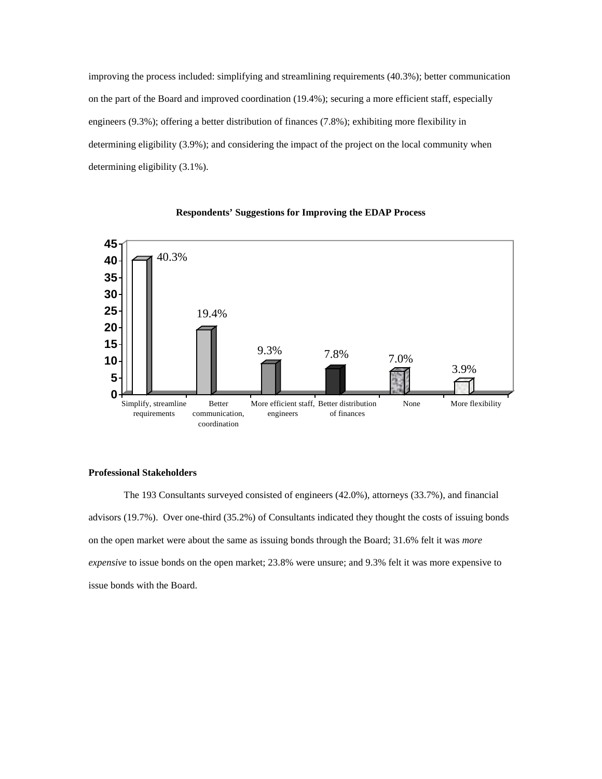improving the process included: simplifying and streamlining requirements (40.3%); better communication on the part of the Board and improved coordination (19.4%); securing a more efficient staff, especially engineers (9.3%); offering a better distribution of finances (7.8%); exhibiting more flexibility in determining eligibility (3.9%); and considering the impact of the project on the local community when determining eligibility (3.1%).





#### **Professional Stakeholders**

The 193 Consultants surveyed consisted of engineers (42.0%), attorneys (33.7%), and financial advisors (19.7%). Over one-third (35.2%) of Consultants indicated they thought the costs of issuing bonds on the open market were about the same as issuing bonds through the Board; 31.6% felt it was *more expensive* to issue bonds on the open market; 23.8% were unsure; and 9.3% felt it was more expensive to issue bonds with the Board.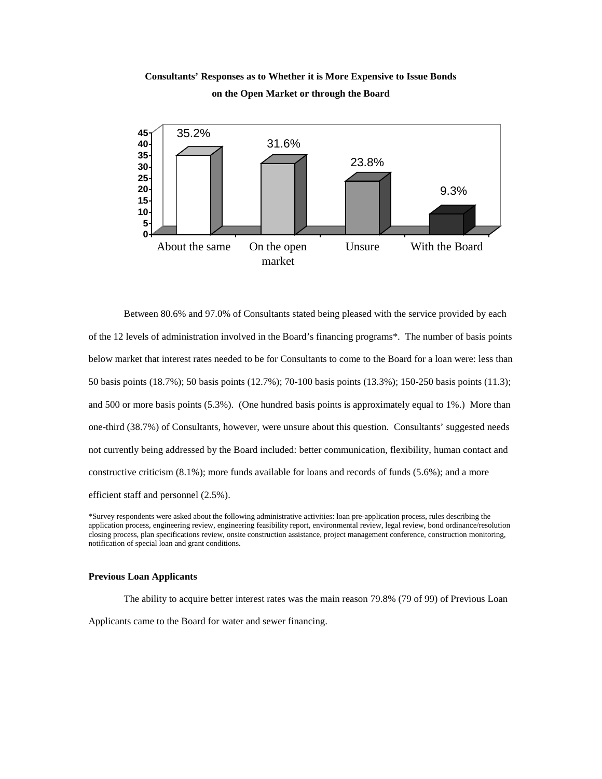# **Consultants' Responses as to Whether it is More Expensive to Issue Bonds on the Open Market or through the Board**



Between 80.6% and 97.0% of Consultants stated being pleased with the service provided by each of the 12 levels of administration involved in the Board's financing programs\*. The number of basis points below market that interest rates needed to be for Consultants to come to the Board for a loan were: less than 50 basis points (18.7%); 50 basis points (12.7%); 70-100 basis points (13.3%); 150-250 basis points (11.3); and 500 or more basis points (5.3%). (One hundred basis points is approximately equal to 1%.) More than one-third (38.7%) of Consultants, however, were unsure about this question. Consultants' suggested needs not currently being addressed by the Board included: better communication, flexibility, human contact and constructive criticism (8.1%); more funds available for loans and records of funds (5.6%); and a more efficient staff and personnel (2.5%).

#### **Previous Loan Applicants**

The ability to acquire better interest rates was the main reason 79.8% (79 of 99) of Previous Loan Applicants came to the Board for water and sewer financing.

<sup>\*</sup>Survey respondents were asked about the following administrative activities: loan pre-application process, rules describing the application process, engineering review, engineering feasibility report, environmental review, legal review, bond ordinance/resolution closing process, plan specifications review, onsite construction assistance, project management conference, construction monitoring, notification of special loan and grant conditions.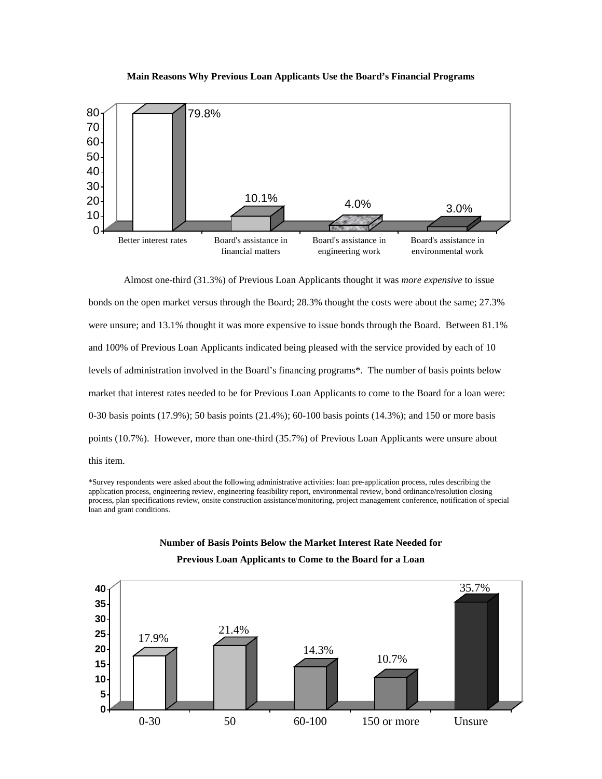### **Main Reasons Why Previous Loan Applicants Use the Board's Financial Programs**



Almost one-third (31.3%) of Previous Loan Applicants thought it was *more expensive* to issue bonds on the open market versus through the Board; 28.3% thought the costs were about the same; 27.3% were unsure; and 13.1% thought it was more expensive to issue bonds through the Board. Between 81.1% and 100% of Previous Loan Applicants indicated being pleased with the service provided by each of 10 levels of administration involved in the Board's financing programs\*. The number of basis points below market that interest rates needed to be for Previous Loan Applicants to come to the Board for a loan were: 0-30 basis points (17.9%); 50 basis points (21.4%); 60-100 basis points (14.3%); and 150 or more basis points (10.7%). However, more than one-third (35.7%) of Previous Loan Applicants were unsure about this item.

\*Survey respondents were asked about the following administrative activities: loan pre-application process, rules describing the application process, engineering review, engineering feasibility report, environmental review, bond ordinance/resolution closing process, plan specifications review, onsite construction assistance/monitoring, project management conference, notification of special loan and grant conditions.

## **Number of Basis Points Below the Market Interest Rate Needed for**



**Previous Loan Applicants to Come to the Board for a Loan**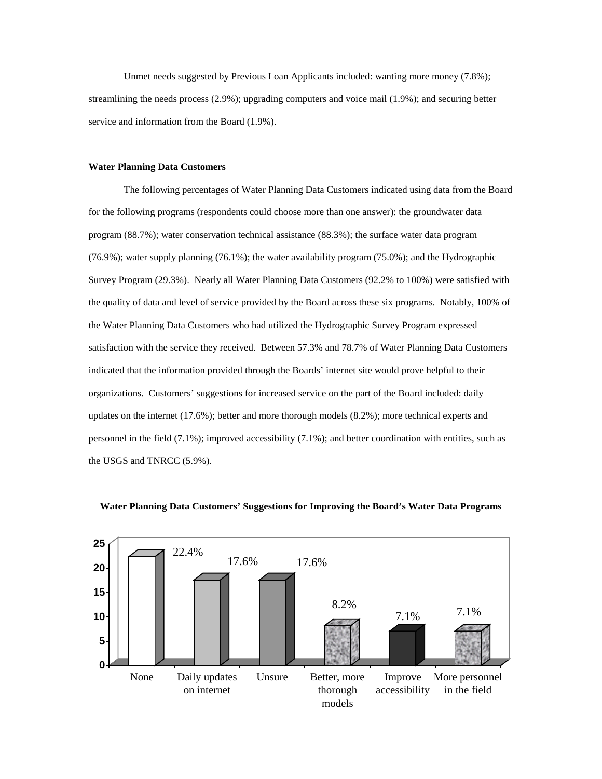Unmet needs suggested by Previous Loan Applicants included: wanting more money (7.8%); streamlining the needs process (2.9%); upgrading computers and voice mail (1.9%); and securing better service and information from the Board (1.9%).

# **Water Planning Data Customers**

The following percentages of Water Planning Data Customers indicated using data from the Board for the following programs (respondents could choose more than one answer): the groundwater data program (88.7%); water conservation technical assistance (88.3%); the surface water data program (76.9%); water supply planning (76.1%); the water availability program (75.0%); and the Hydrographic Survey Program (29.3%). Nearly all Water Planning Data Customers (92.2% to 100%) were satisfied with the quality of data and level of service provided by the Board across these six programs. Notably, 100% of the Water Planning Data Customers who had utilized the Hydrographic Survey Program expressed satisfaction with the service they received. Between 57.3% and 78.7% of Water Planning Data Customers indicated that the information provided through the Boards' internet site would prove helpful to their organizations. Customers' suggestions for increased service on the part of the Board included: daily updates on the internet (17.6%); better and more thorough models (8.2%); more technical experts and personnel in the field (7.1%); improved accessibility (7.1%); and better coordination with entities, such as the USGS and TNRCC (5.9%).



#### **Water Planning Data Customers' Suggestions for Improving the Board's Water Data Programs**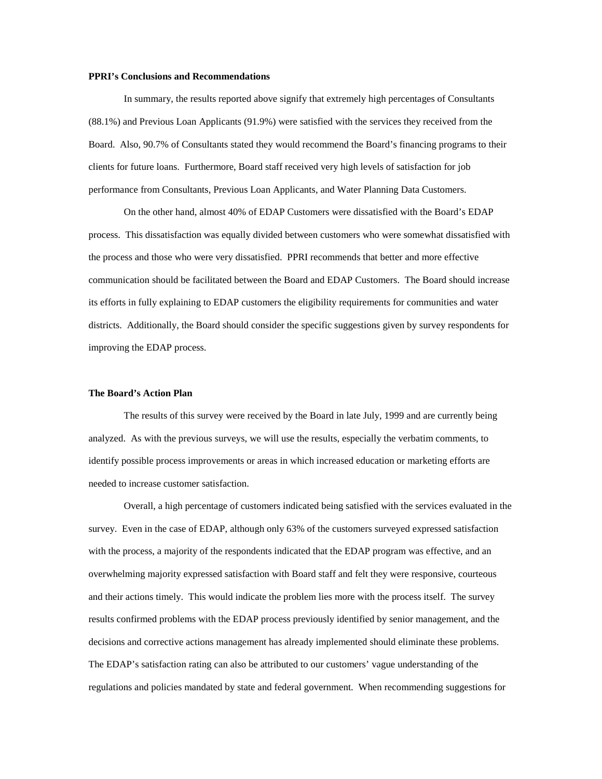## **PPRI's Conclusions and Recommendations**

In summary, the results reported above signify that extremely high percentages of Consultants (88.1%) and Previous Loan Applicants (91.9%) were satisfied with the services they received from the Board. Also, 90.7% of Consultants stated they would recommend the Board's financing programs to their clients for future loans. Furthermore, Board staff received very high levels of satisfaction for job performance from Consultants, Previous Loan Applicants, and Water Planning Data Customers.

On the other hand, almost 40% of EDAP Customers were dissatisfied with the Board's EDAP process. This dissatisfaction was equally divided between customers who were somewhat dissatisfied with the process and those who were very dissatisfied. PPRI recommends that better and more effective communication should be facilitated between the Board and EDAP Customers. The Board should increase its efforts in fully explaining to EDAP customers the eligibility requirements for communities and water districts. Additionally, the Board should consider the specific suggestions given by survey respondents for improving the EDAP process.

#### **The Board's Action Plan**

The results of this survey were received by the Board in late July, 1999 and are currently being analyzed. As with the previous surveys, we will use the results, especially the verbatim comments, to identify possible process improvements or areas in which increased education or marketing efforts are needed to increase customer satisfaction.

Overall, a high percentage of customers indicated being satisfied with the services evaluated in the survey. Even in the case of EDAP, although only 63% of the customers surveyed expressed satisfaction with the process, a majority of the respondents indicated that the EDAP program was effective, and an overwhelming majority expressed satisfaction with Board staff and felt they were responsive, courteous and their actions timely. This would indicate the problem lies more with the process itself. The survey results confirmed problems with the EDAP process previously identified by senior management, and the decisions and corrective actions management has already implemented should eliminate these problems. The EDAP's satisfaction rating can also be attributed to our customers' vague understanding of the regulations and policies mandated by state and federal government. When recommending suggestions for